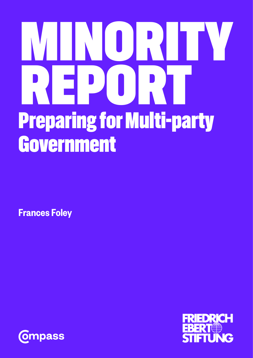# MINORITY REPORT Preparing for Multi-party Government

Frances Foley



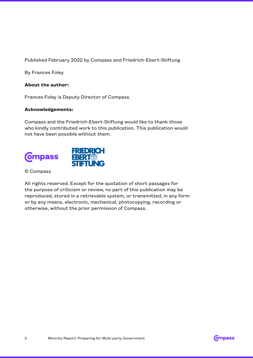Published February 2022 by Compass and Friedrich-Ebert-Stiftung

By Frances Foley

#### **About the author:**

Frances Foley is Deputy Director of Compass.

#### **Acknowledgements:**

Compass and the Friedrich-Ebert-Stiftung would like to thank those who kindly contributed work to this publication. This publication would not have been possible without them.



© Compass

All rights reserved. Except for the quotation of short passages for the purpose of criticism or review, no part of this publication may be reproduced, stored in a retrievable system, or transmitted, in any form or by any means, electronic, mechanical, photocopying, recording or otherwise, without the prior permission of Compass.

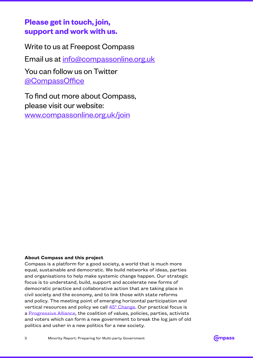## **Please get in touch, join, support and work with us.**

Write to us at Freepost Compass Email us at [info@compassonline.org.uk](mailto:info%40compassonline.org.uk?subject=) You can follow us on Twitter [@CompassOffice](https://twitter.com/CompassOffice?ref_src=twsrc%5Egoogle%7Ctwcamp%5Eserp%7Ctwgr%5Eauthor)

To find out more about Compass, please visit our website: [www.compassonline.org.uk/join](http://www.compassonline.org.uk/join)

#### **About Compass and this project**

Compass is a platform for a good society, a world that is much more equal, sustainable and democratic. We build networks of ideas, parties and organisations to help make systemic change happen. Our strategic focus is to understand, build, support and accelerate new forms of democratic practice and collaborative action that are taking place in civil society and the economy, and to link those with state reforms and policy. The meeting point of emerging horizontal participation and vertical resources and policy we call  $45^{\circ}$  Change. Our practical focus is a Progressive Alliance, the coalition of values, policies, parties, activists and voters which can form a new government to break the log jam of old politics and usher in a new politics for a new society.

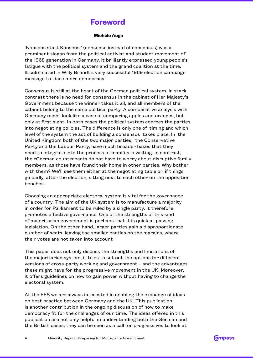## **Foreword**

#### **Michèle Auga**

'Nonsens statt Konsens!' (nonsense instead of consensus) was a prominent slogan from the political activist and student movement of the 1968 generation in Germany. It brilliantly expressed young people's fatigue with the political system and the grand coalition at the time. It culminated in Willy Brandt's very successful 1969 election campaign message to 'dare more democracy'.

Consensus is still at the heart of the German political system. In stark contrast there is no need for consensus in the cabinet of Her Majesty's Government because the winner takes it all, and all members of the cabinet belong to the same political party. A comparative analysis with Germany might look like a case of comparing apples and oranges, but only at first sight. In both cases the political system coerces the parties into negotiating policies. The difference is only one of timing and which level of the system the act of building a consensus takes place. In the United Kingdom both of the two major parties, the Conservative Party and the Labour Party, have much broader bases that they need to integrate into the process of manifesto writing. In contrast, theirGerman counterparts do not have to worry about disruptive family members, as those have found their home in other parties. Why bother with them? We'll see them either at the negotiating table or, if things go badly, after the election, sitting next to each other on the opposition benches.

Choosing an appropriate electoral system is vital for the governance of a country. The aim of the UK system is to manufacture a majority in order for Parliament to be ruled by a single party. It therefore promotes effective governance. One of the strengths of this kind of majoritarian government is perhaps that it is quick at passing legislation. On the other hand, larger parties gain a disproportionate number of seats, leaving the smaller parties on the margins, where their votes are not taken into account

This paper does not only discuss the strengths and limitations of the majoritarian system, it tries to set out the options for different versions of cross-party working and government – and the advantages these might have for the progressive movement in the UK. Moreover, it offers guidelines on how to gain power without having to change the electoral system.

At the FES we are always interested in enabling the exchange of ideas on best practice between Germany and the UK. This publication is another contribution in the ongoing discussion of how to make democracy fit for the challenges of our time. The ideas offered in this publication are not only helpful in understanding both the German and the British cases; they can be seen as a call for progressives to look at

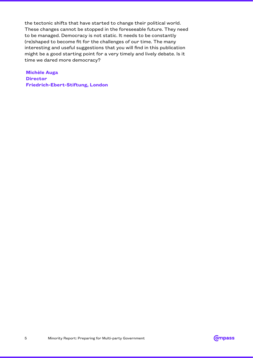the tectonic shifts that have started to change their political world. These changes cannot be stopped in the foreseeable future. They need to be managed. Democracy is not static. It needs to be constantly (re)shaped to become fit for the challenges of our time. The many interesting and useful suggestions that you will find in this publication might be a good starting point for a very timely and lively debate. Is it time we dared more democracy?

**Michèle Auga Director Friedrich-Ebert-Stiftung, London**

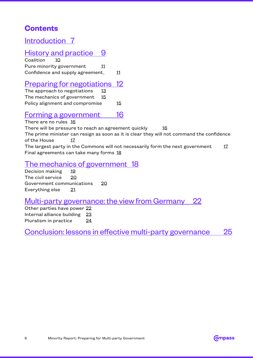## **Contents**

## [Introduction](#page-6-0) 7

## [History and practice](#page-8-0) 9

[Coalition](#page-9-0) 10 [Pure minority government](#page-10-0) 11 [Confidence and supply agreement](#page-10-0) 11

## [Preparing for negotiations](#page-11-0) 12

[The approach to negotiations 13](#page-12-0) [The mechanics of government](#page-14-0) 15 [Policy alignment and compromise](#page-14-0) 15

## [Forming a government 16](#page-15-0)

[There are no rules](#page-15-0) 16 [There will be pressure to reach an agreement quickly 16](#page-15-0) [The prime minister can resign as soon as it is clear they will not command the confidence](#page-16-0)  [of the House 17](#page-16-0) The largest party in the Commons will not necessarily form the next government  $17$ [Final agreements can take many forms](#page-17-0) 18

## [The mechanics of government 18](#page-17-0)

[Decision making 19](#page-18-0) [The civil service 20](#page-19-0) [Government communications 20](#page-19-0) [Everything else](#page-20-0) 21

## [Multi-party governance: the view from Germany](#page-21-0) 22

[Other parties have power](#page-21-0) 22 [Internal alliance building](#page-22-0) 23 [Pluralism in practice](#page-23-0) 24

[Conclusion: lessons in effective multi-party governance](#page-24-0) 25

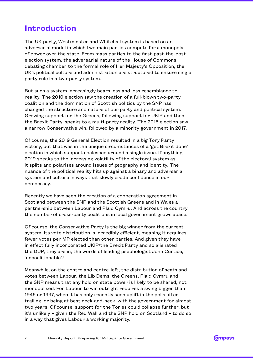## <span id="page-6-0"></span>**Introduction**

The UK party, Westminster and Whitehall system is based on an adversarial model in which two main parties compete for a monopoly of power over the state. From mass parties to the first-past-the-post election system, the adversarial nature of the House of Commons debating chamber to the formal role of Her Majesty's Opposition, the UK's political culture and administration are structured to ensure single party rule in a two-party system.

But such a system increasingly bears less and less resemblance to reality. The 2010 election saw the creation of a full-blown two-party coalition and the domination of Scottish politics by the SNP has changed the structure and nature of our party and political system. Growing support for the Greens, following support for UKIP and then the Brexit Party, speaks to a multi-party reality. The 2015 election saw a narrow Conservative win, followed by a minority government in 2017.

Of course, the 2019 General Election resulted in a big Tory Party victory, but that was in the unique circumstances of a 'get Brexit done' election in which support coalesced around a single issue. If anything, 2019 speaks to the increasing volatility of the electoral system as it splits and polarises around issues of geography and identity. The nuance of the political reality hits up against a binary and adversarial system and culture in ways that slowly erode confidence in our democracy.

Recently we have seen the creation of a cooperation agreement in Scotland between the SNP and the Scottish Greens and in Wales a partnership between Labour and Plaid Cymru. And across the country the number of cross-party coalitions in local government grows apace.

Of course, the Conservative Party is the big winner from the current system. Its vote distribution is incredibly efficient, meaning it requires fewer votes per MP elected than other parties. And given they have in effect fully incorporated UKIP/the Brexit Party and so alienated the DUP, they are in, the words of leading psephologist John Curtice, 'uncoalitionable'.1

Meanwhile, on the centre and centre-left, the distribution of seats and votes between Labour, the Lib Dems, the Greens, Plaid Cymru and the SNP means that any hold on state power is likely to be shared, not monopolised. For Labour to win outright requires a swing bigger than 1945 or 1997, when it has only recently seen uplift in the polls after trailing, or being at best neck-and-neck, with the government for almost two years. Of course, support for the Tories could collapse further, but it's unlikely – given the Red Wall and the SNP hold on Scotland – to do so in a way that gives Labour a working majority.

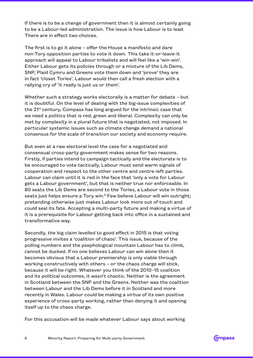If there is to be a change of government then it is almost certainly going to be a Labour-led administration. The issue is how Labour is to lead. There are in effect two choices.

The first is to go it alone – offer the House a manifesto and dare non-Tory opposition parties to vote it down. This take it-or-leave-it approach will appeal to Labour tribalists and will feel like a 'win-win'. Either Labour gets its policies through or a mixture of the Lib Dems, SNP, Plaid Cymru and Greens vote them down and 'prove' they are in fact 'closet Tories'. Labour would then call a fresh election with a rallying cry of 'it really is just us or them'.

Whether such a strategy works electorally is a matter for debate – but it is doubtful. On the level of dealing with the big-issue complexities of the  $21^{st}$  century, Compass has long argued for the intrinsic case that we need a politics that is red, green and liberal. Complexity can only be met by complexity in a plural future that is negotiated, not imposed. In particular systemic issues such as climate change demand a national consensus for the scale of transition our society and economy require.

But even at a raw electoral level the case for a negotiated and consensual cross-party government makes sense for two reasons. Firstly, if parties intend to campaign tactically and the electorate is to be encouraged to vote tactically, Labour must send warm signals of cooperation and respect to the other centre and centre-left parties. Labour can claim until it is red in the face that 'only a vote for Labour gets a Labour government', but that is neither true nor enforceable. In 80 seats the Lib Dems are second to the Tories, a Labour vote in those seats just helps ensure a Tory win.<sup>2</sup> Few believe Labour will win outright; pretending otherwise just makes Labour look more out of touch and could seal its fate. Accepting a multi-party future and making a virtue of it is a prerequisite for Labour getting back into office in a sustained and transformative way.

Secondly, the big claim levelled to good effect in 2015 is that voting progressive invites a 'coalition of chaos'. This issue, because of the polling numbers and the psephological mountain Labour has to climb, cannot be ducked. If no one believes Labour can win alone then it becomes obvious that a Labour premiership is only viable through working constructively with others – or the chaos charge will stick, because it will be right. Whatever you think of the 2010–15 coalition and its political outcomes, it wasn't chaotic. Neither is the agreement in Scotland between the SNP and the Greens. Neither was the coalition between Labour and the Lib Dems before it in Scotland and more recently in Wales. Labour could be making a virtue of its own positive experience of cross-party working, rather than denying it and opening itself up to the chaos charge.

For this accusation will be made whatever Labour says about working

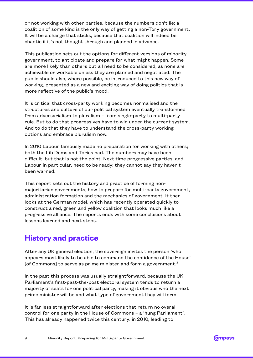<span id="page-8-0"></span>or not working with other parties, because the numbers don't lie: a coalition of some kind is the only way of getting a non-Tory government. It will be a charge that sticks, because that coalition will indeed be chaotic if it's not thought through and planned in advance.

This publication sets out the options for different versions of minority government, to anticipate and prepare for what might happen. Some are more likely than others but all need to be considered, as none are achievable or workable unless they are planned and negotiated. The public should also, where possible, be introduced to this new way of working, presented as a new and exciting way of doing politics that is more reflective of the public's mood.

It is critical that cross-party working becomes normalised and the structures and culture of our political system eventually transformed from adversarialism to pluralism – from single-party to multi-party rule. But to do that progressives have to win under the current system. And to do that they have to understand the cross-party working options and embrace pluralism now.

In 2010 Labour famously made no preparation for working with others; both the Lib Dems and Tories had. The numbers may have been difficult, but that is not the point. Next time progressive parties, and Labour in particular, need to be ready: they cannot say they haven't been warned.

This report sets out the history and practice of forming nonmajoritarian governments, how to prepare for multi-party government, administration formation and the mechanics of government. It then looks at the German model, which has recently operated quickly to construct a red, green and yellow coalition that looks much like a progressive alliance. The reports ends with some conclusions about lessons learned and next steps.

## **History and practice**

After any UK general election, the sovereign invites the person 'who appears most likely to be able to command the confidence of the House' [of Commons] to serve as prime minister and form a government.<sup>3</sup>

In the past this process was usually straightforward, because the UK Parliament's first-past-the-post electoral system tends to return a majority of seats for one political party, making it obvious who the next prime minister will be and what type of government they will form.

It is far less straightforward after elections that return no overall control for one party in the House of Commons – a 'hung Parliament'. This has already happened twice this century: in 2010, leading to

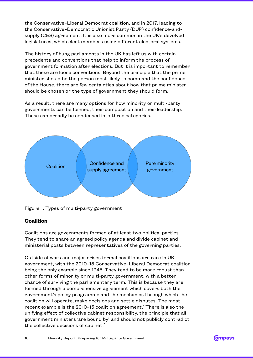<span id="page-9-0"></span>the Conservative–Liberal Democrat coalition, and in 2017, leading to the Conservative–Democratic Unionist Party (DUP) confidence-andsupply (C&S) agreement. It is also more common in the UK's devolved legislatures, which elect members using different electoral systems.

The history of hung parliaments in the UK has left us with certain precedents and conventions that help to inform the process of government formation after elections. But it is important to remember that these are loose conventions. Beyond the principle that the prime minister should be the person most likely to command the confidence of the House, there are few certainties about how that prime minister should be chosen or the type of government they should form.

As a result, there are many options for how minority or multi-party governments can be formed, their composition and their leadership. These can broadly be condensed into three categories.



Figure 1. Types of multi-party government

#### **Coalition**

Coalitions are governments formed of at least two political parties. They tend to share an agreed policy agenda and divide cabinet and ministerial posts between representatives of the governing parties.

Outside of wars and major crises formal coalitions are rare in UK government, with the 2010–15 Conservative–Liberal Democrat coalition being the only example since 1945. They tend to be more robust than other forms of minority or multi-party government, with a better chance of surviving the parliamentary term. This is because they are formed through a comprehensive agreement which covers both the government's policy programme and the mechanics through which the coalition will operate, make decisions and settle disputes. The most recent example is the 2010–15 coalition agreement.4 There is also the unifying effect of collective cabinet responsibility, the principle that all government ministers 'are bound by' and should not publicly contradict the collective decisions of cabinet.<sup>5</sup>

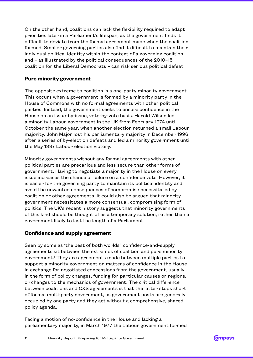<span id="page-10-0"></span>On the other hand, coalitions can lack the flexibility required to adapt priorities later in a Parliament's lifespan, as the government finds it difficult to deviate from the formal agreement made when the coalition formed. Smaller governing parties also find it difficult to maintain their individual political identity within the context of a governing coalition and – as illustrated by the political consequences of the 2010–15 coalition for the Liberal Democrats – can risk serious political defeat.

#### **Pure minority government**

The opposite extreme to coalition is a one-party minority government. This occurs when a government is formed by a minority party in the House of Commons with no formal agreements with other political parties. Instead, the government seeks to ensure confidence in the House on an issue-by-issue, vote-by-vote basis. Harold Wilson led a minority Labour government in the UK from February 1974 until October the same year, when another election returned a small Labour majority. John Major lost his parliamentary majority in December 1996 after a series of by-election defeats and led a minority government until the May 1997 Labour election victory.

Minority governments without any formal agreements with other political parties are precarious and less secure than other forms of government. Having to negotiate a majority in the House on every issue increases the chance of failure on a confidence vote. However, it is easier for the governing party to maintain its political identity and avoid the unwanted consequences of compromise necessitated by coalition or other agreements. It could also be argued that minority government necessitates a more consensual, compromising form of politics. The UK's recent history suggests that minority governments of this kind should be thought of as a temporary solution, rather than a government likely to last the length of a Parliament.

#### **Confidence and supply agreement**

Seen by some as 'the best of both worlds', confidence-and-supply agreements sit between the extremes of coalition and pure minority government.6 They are agreements made between multiple parties to support a minority government on matters of confidence in the House in exchange for negotiated concessions from the government, usually in the form of policy changes, funding for particular causes or regions, or changes to the mechanics of government. The critical difference between coalitions and C&S agreements is that the latter stops short of formal multi-party government, as government posts are generally occupied by one party and they act without a comprehensive, shared policy agenda.

Facing a motion of no-confidence in the House and lacking a parliamentary majority, in March 1977 the Labour government formed

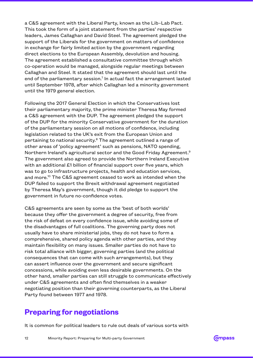<span id="page-11-0"></span>a C&S agreement with the Liberal Party, known as the Lib–Lab Pact. This took the form of a joint statement from the parties' respective leaders, James Callaghan and David Steel. The agreement pledged the support of the Liberals for the government on matters of confidence in exchange for fairly limited action by the government regarding direct elections to the European Assembly, devolution and housing. The agreement established a consultative committee through which co-operation would be managed, alongside regular meetings between Callaghan and Steel. It stated that the agreement should last until the end of the parliamentary session.<sup>7</sup> In actual fact the arrangement lasted until September 1978, after which Callaghan led a minority government until the 1979 general election.

Following the 2017 General Election in which the Conservatives lost their parliamentary majority, the prime minister Theresa May formed a C&S agreement with the DUP. The agreement pledged the support of the DUP for the minority Conservative government for the duration of the parliamentary session on all motions of confidence, including legislation related to the UK's exit from the European Union and pertaining to national security.<sup>8</sup> The agreement outlined a range of other areas of 'policy agreement' such as pensions, NATO spending, Northern Ireland's agricultural sector and the Good Friday Agreement.<sup>9</sup> The government also agreed to provide the Northern Ireland Executive with an additional £1 billion of financial support over five years, which was to go to infrastructure projects, health and education services, and more.<sup>10</sup> The C&S agreement ceased to work as intended when the DUP failed to support the Brexit withdrawal agreement negotiated by Theresa May's government, though it did pledge to support the government in future no-confidence votes.

C&S agreements are seen by some as the 'best of both worlds' because they offer the government a degree of security, free from the risk of defeat on every confidence issue, while avoiding some of the disadvantages of full coalitions. The governing party does not usually have to share ministerial jobs, they do not have to form a comprehensive, shared policy agenda with other parties, and they maintain flexibility on many issues. Smaller parties do not have to risk total alliance with bigger, governing parties (and the political consequences that can come with such arrangements), but they can assert influence over the government and secure significant concessions, while avoiding even less desirable governments. On the other hand, smaller parties can still struggle to communicate effectively under C&S agreements and often find themselves in a weaker negotiating position than their governing counterparts, as the Liberal Party found between 1977 and 1978.

## **Preparing for negotiations**

It is common for political leaders to rule out deals of various sorts with

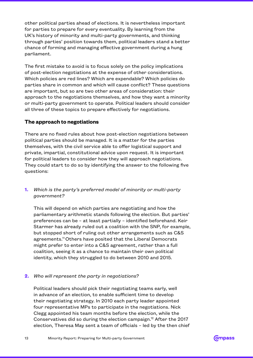<span id="page-12-0"></span>other political parties ahead of elections. It is nevertheless important for parties to prepare for every eventuality. By learning from the UK's history of minority and multi-party governments, and thinking through parties' position towards them, political leaders stand a better chance of forming and managing effective government during a hung parliament.

The first mistake to avoid is to focus solely on the policy implications of post-election negotiations at the expense of other considerations. Which policies are red lines? Which are expendable? Which policies do parties share in common and which will cause conflict? These questions are important, but so are two other areas of consideration: their approach to the negotiations themselves, and how they want a minority or multi-party government to operate. Political leaders should consider all three of these topics to prepare effectively for negotiations.

#### **The approach to negotiations**

There are no fixed rules about how post-election negotiations between political parties should be managed. It is a matter for the parties themselves, with the civil service able to offer logistical support and private, impartial, constitutional advice upon request. It is important for political leaders to consider how they will approach negotiations. They could start to do so by identifying the answer to the following five questions:

#### **1.** *Which is the party's preferred model of minority or multi-party government?*

This will depend on which parties are negotiating and how the parliamentary arithmetic stands following the election. But parties' preferences can be – at least partially – identified beforehand. Keir Starmer has already ruled out a coalition with the SNP, for example, but stopped short of ruling out other arrangements such as C&S agreements.<sup>11</sup> Others have posited that the Liberal Democrats might prefer to enter into a C&S agreement, rather than a full coalition, seeing it as a chance to maintain their own political identity, which they struggled to do between 2010 and 2015.

#### **2.** *Who will represent the party in negotiations?*

Political leaders should pick their negotiating teams early, well in advance of an election, to enable sufficient time to develop their negotiating strategy. In 2010 each party leader appointed four representative MPs to participate in the negotiations. Nick Clegg appointed his team months before the election, while the Conservatives did so during the election campaign.<sup>12</sup> After the 2017 election, Theresa May sent a team of officials – led by the then chief

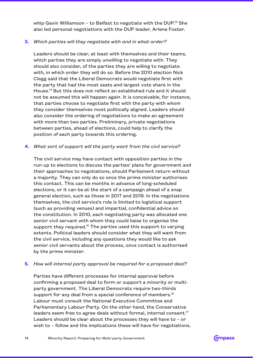whip Gavin Williamson - to Belfast to negotiate with the DUP.<sup>13</sup> She also led personal negotiations with the DUP leader, Arlene Foster.

#### **3.** *Which parties will they negotiate with and in what order?*

Leaders should be clear, at least with themselves and their teams, which parties they are simply unwilling to negotiate with. They should also consider, of the parties they are willing to negotiate with, in which order they will do so. Before the 2010 election Nick Clegg said that the Liberal Democrats would negotiate first with the party that had the most seats and largest vote share in the House.14 But this does not reflect an established rule and it should not be assumed this will happen again. It is conceivable, for instance, that parties choose to negotiate first with the party with whom they consider themselves most politically aligned. Leaders should also consider the ordering of negotiations to make an agreement with more than two parties. Preliminary, private negotiations between parties, ahead of elections, could help to clarify the position of each party towards this ordering.

#### **4.** *What sort of support will the party want from the civil service?*

The civil service may have contact with opposition parties in the run-up to elections to discuss the parties' plans for government and their approaches to negotiations, should Parliament return without a majority. They can only do so once the prime minister authorises this contact. This can be months in advance of long-scheduled elections, or it can be at the start of a campaign ahead of a snap general election, such as those in 2017 and 2019. In the negotiations themselves, the civil service's role is limited to logistical support (such as providing venues) and impartial, confidential advice on the constitution. In 2010, each negotiating party was allocated one senior civil servant with whom they could liaise to organise the support they required.<sup>15</sup> The parties used this support to varying extents. Political leaders should consider what they will want from the civil service, including any questions they would like to ask senior civil servants about the process, once contact is authorised by the prime minister.

#### **5.** *How will internal party approval be required for a proposed deal?*

Parties have different processes for internal approval before confirming a proposed deal to form or support a minority or multiparty government. The Liberal Democrats require two-thirds support for any deal from a special conference of members.<sup>16</sup> Labour must consult the National Executive Committee and Parliamentary Labour Party. On the other hand, the Conservative leaders seem free to agree deals without formal, internal consent.<sup>17</sup> Leaders should be clear about the processes they will have to – or wish to – follow and the implications these will have for negotiations.

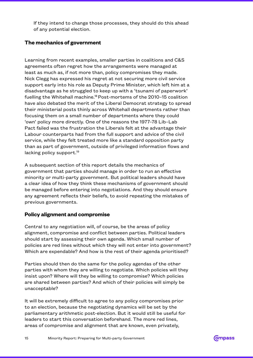<span id="page-14-0"></span>If they intend to change those processes, they should do this ahead of any potential election.

#### **The mechanics of government**

Learning from recent examples, smaller parties in coalitions and C&S agreements often regret how the arrangements were managed at least as much as, if not more than, policy compromises they made. Nick Clegg has expressed his regret at not securing more civil service support early into his role as Deputy Prime Minister, which left him at a disadvantage as he struggled to keep up with a 'tsunami of paperwork' fuelling the Whitehall machine.<sup>18</sup> Post-mortems of the 2010-15 coalition have also debated the merit of the Liberal Democrat strategy to spread their ministerial posts thinly across Whitehall departments rather than focusing them on a small number of departments where they could 'own' policy more directly. One of the reasons the 1977–78 Lib–Lab Pact failed was the frustration the Liberals felt at the advantage their Labour counterparts had from the full support and advice of the civil service, while they felt treated more like a standard opposition party than as part of government, outside of privileged information flows and lacking policy support.<sup>19</sup>

A subsequent section of this report details the mechanics of government that parties should manage in order to run an effective minority or multi-party government. But political leaders should have a clear idea of how they think these mechanisms of government should be managed before entering into negotiations. And they should ensure any agreement reflects their beliefs, to avoid repeating the mistakes of previous governments.

#### **Policy alignment and compromise**

Central to any negotiation will, of course, be the areas of policy alignment, compromise and conflict between parties. Political leaders should start by assessing their own agenda. Which small number of policies are red lines without which they will not enter into government? Which are expendable? And how is the rest of their agenda prioritised?

Parties should then do the same for the policy agendas of the other parties with whom they are willing to negotiate. Which policies will they insist upon? Where will they be willing to compromise? Which policies are shared between parties? And which of their policies will simply be unacceptable?

It will be extremely difficult to agree to any policy compromises prior to an election, because the negotiating dynamics will be set by the parliamentary arithmetic post-election. But it would still be useful for leaders to start this conversation beforehand. The more red lines, areas of compromise and alignment that are known, even privately,

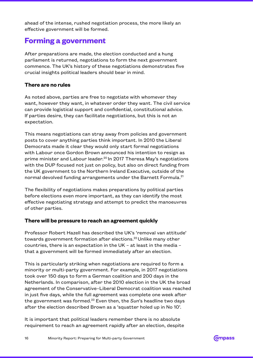<span id="page-15-0"></span>ahead of the intense, rushed negotiation process, the more likely an effective government will be formed.

## **Forming a government**

After preparations are made, the election conducted and a hung parliament is returned, negotiations to form the next government commence. The UK's history of these negotiations demonstrates five crucial insights political leaders should bear in mind.

#### **There are no rules**

As noted above, parties are free to negotiate with whomever they want, however they want, in whatever order they want. The civil service can provide logistical support and confidential, constitutional advice. If parties desire, they can facilitate negotiations, but this is not an expectation.

This means negotiations can stray away from policies and government posts to cover anything parties think important. In 2010 the Liberal Democrats made it clear they would only start formal negotiations with Labour once Gordon Brown announced his intention to resign as prime minister and Labour leader.<sup>20</sup> In 2017 Theresa May's negotiations with the DUP focused not just on policy, but also on direct funding from the UK government to the Northern Ireland Executive, outside of the normal devolved funding arrangements under the Barnett Formula.<sup>21</sup>

The flexibility of negotiations makes preparations by political parties before elections even more important, as they can identify the most effective negotiating strategy and attempt to predict the manoeuvres of other parties.

#### **There will be pressure to reach an agreement quickly**

Professor Robert Hazell has described the UK's 'removal van attitude' towards government formation after elections.<sup>22</sup> Unlike many other countries, there is an expectation in the UK – at least in the media – that a government will be formed immediately after an election.

This is particularly striking when negotiations are required to form a minority or multi-party government. For example, in 2017 negotiations took over 150 days to form a German coalition and 200 days in the Netherlands. In comparison, after the 2010 election in the UK the broad agreement of the Conservative–Liberal Democrat coalition was reached in just five days, while the full agreement was complete one week after the government was formed.23 Even then, the *Sun*'s headline two days after the election described Brown as a 'squatter holed up in No 10'.

It is important that political leaders remember there is no absolute requirement to reach an agreement rapidly after an election, despite

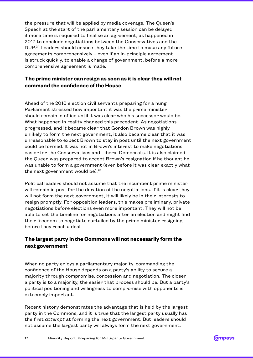<span id="page-16-0"></span>the pressure that will be applied by media coverage. The Queen's Speech at the start of the parliamentary session can be delayed if more time is required to finalise an agreement, as happened in 2017 to conclude negotiations between the Conservatives and the DUP.<sup>24</sup> Leaders should ensure they take the time to make any future agreements comprehensively – even if an in-principle agreement is struck quickly, to enable a change of government, before a more comprehensive agreement is made.

#### **The prime minister can resign as soon as it is clear they will not command the confidence of the House**

Ahead of the 2010 election civil servants preparing for a hung Parliament stressed how important it was the prime minister should remain in office until it was clear who his successor would be. What happened in reality changed this precedent. As negotiations progressed, and it became clear that Gordon Brown was highly unlikely to form the next government, it also became clear that it was unreasonable to expect Brown to stay in post until the next government could be formed. It was not in Brown's interest to make negotiations easier for the Conservatives and Liberal Democrats. It is also claimed the Queen was prepared to accept Brown's resignation if he thought he was unable to form a government (even before it was clear exactly what the next government would be).<sup>25</sup>

Political leaders should not assume that the incumbent prime minister will remain in post for the duration of the negotiations. If it is clear they will not form the next government, it will likely be in their interests to resign promptly. For opposition leaders, this makes preliminary, private negotiations before elections even more important. They will not be able to set the timeline for negotiations after an election and might find their freedom to negotiate curtailed by the prime minister resigning before they reach a deal.

#### **The largest party in the Commons will not necessarily form the next government**

When no party enjoys a parliamentary majority, commanding the confidence of the House depends on a party's ability to secure a majority through compromise, concession and negotiation. The closer a party is to a majority, the easier that process should be. But a party's political positioning and willingness to compromise with opponents is extremely important.

Recent history demonstrates the advantage that is held by the largest party in the Commons, and it is true that the largest party usually has the first *attempt* at forming the next government. But leaders should not assume the largest party will always form the next government.

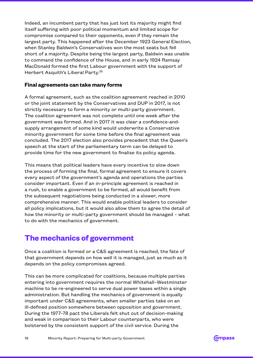<span id="page-17-0"></span>Indeed, an incumbent party that has just lost its majority might find itself suffering with poor political momentum and limited scope for compromise compared to their opponents, even if they remain the largest party. This happened after the December 1923 General Election, when Stanley Baldwin's Conservatives won the most seats but fell short of a majority. Despite being the largest party, Baldwin was unable to command the confidence of the House, and in early 1924 Ramsay MacDonald formed the first Labour government with the support of Herbert Asquith's Liberal Party.<sup>26</sup>

#### **Final agreements can take many forms**

A formal agreement, such as the coalition agreement reached in 2010 or the joint statement by the Conservatives and DUP in 2017, is not strictly necessary to form a minority or multi-party government. The coalition agreement was not complete until one week after the government was formed. And in 2017 it was clear a confidence-andsupply arrangement of some kind would underwrite a Conservative minority government for some time before the final agreement was concluded. The 2017 election also provides precedent that the Queen's speech at the start of the parliamentary term can be delayed to provide time for the new government to finalise its policy agenda.

This means that political leaders have every incentive to slow down the process of forming the final, formal agreement to ensure it covers every aspect of the government's agenda and operations the parties consider important. Even if an in-principle agreement is reached in a rush, to enable a government to be formed, all would benefit from the subsequent negotiations being conducted in a slower, more comprehensive manner. This would enable political leaders to consider all policy implications, but it would also allow them to agree the detail of how the minority or multi-party government should be managed – what to do with the mechanics of government.

## **The mechanics of government**

Once a coalition is formed or a C&S agreement is reached, the fate of that government depends on how well it is managed, just as much as it depends on the policy compromises agreed.

This can be more complicated for coalitions, because multiple parties entering into government requires the normal Whitehall–Westminster machine to be re-engineered to serve dual power bases within a single administration. But handling the mechanics of government is equally important under C&S agreements, when smaller parties take on an ill-defined position somewhere between opposition and government. During the 1977–78 pact the Liberals felt shut out of decision-making and weak in comparison to their Labour counterparts, who were bolstered by the consistent support of the civil service. During the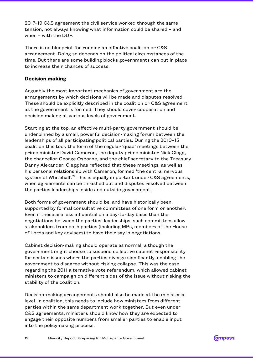<span id="page-18-0"></span>2017–19 C&S agreement the civil service worked through the same tension, not always knowing what information could be shared – and when – with the DUP.

There is no blueprint for running an effective coalition or C&S arrangement. Doing so depends on the political circumstances of the time. But there are some building blocks governments can put in place to increase their chances of success.

#### **Decision making**

Arguably the most important mechanics of government are the arrangements by which decisions will be made and disputes resolved. These should be explicitly described in the coalition or C&S agreement as the government is formed. They should cover cooperation and decision making at various levels of government.

Starting at the top, an effective multi-party government should be underpinned by a small, powerful decision-making forum between the leaderships of all participating political parties. During the 2010–15 coalition this took the form of the regular 'quad' meetings between the prime minister David Cameron, the deputy prime minister Nick Clegg, the chancellor George Osborne, and the chief secretary to the Treasury Danny Alexander. Clegg has reflected that these meetings, as well as his personal relationship with Cameron, formed 'the central nervous system of Whitehall'.<sup>27</sup> This is equally important under C&S agreements, when agreements can be thrashed out and disputes resolved between the parties leaderships inside and outside government.

Both forms of government should be, and have historically been, supported by formal consultative committees of one form or another. Even if these are less influential on a day-to-day basis than the negotiations between the parties' leaderships, such committees allow stakeholders from both parties (including MPs, members of the House of Lords and key advisers) to have their say in negotiations.

Cabinet decision-making should operate as normal, although the government might choose to suspend collective cabinet responsibility for certain issues where the parties diverge significantly, enabling the government to disagree without risking collapse. This was the case regarding the 2011 alternative vote referendum, which allowed cabinet ministers to campaign on different sides of the issue without risking the stability of the coalition.

Decision-making arrangements should also be made at the ministerial level. In coalition, this needs to include how ministers from different parties within the same department work together. But even under C&S agreements, ministers should know how they are expected to engage their opposite numbers from smaller parties to enable input into the policymaking process.

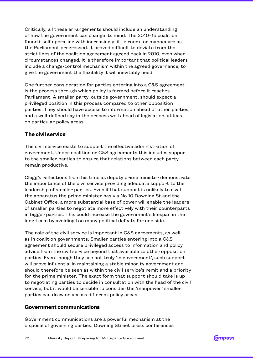<span id="page-19-0"></span>Critically, all these arrangements should include an understanding of how the government can change its mind. The 2010–15 coalition found itself operating with increasingly little room for manoeuvre as the Parliament progressed. It proved difficult to deviate from the strict lines of the coalition agreement agreed back in 2010, even when circumstances changed. It is therefore important that political leaders include a change-control mechanism within the agreed governance, to give the government the flexibility it will inevitably need.

One further consideration for parties entering into a C&S agreement is the process through which policy is formed before it reaches Parliament. A smaller party, outside government, should expect a privileged position in this process compared to other opposition parties. They should have access to information ahead of other parties, and a well-defined say in the process well ahead of legislation, at least on particular policy areas.

#### **The civil service**

The civil service exists to support the effective administration of government. Under coalition or C&S agreements this includes support to the smaller parties to ensure that relations between each party remain productive.

Clegg's reflections from his time as deputy prime minister demonstrate the importance of the civil service providing adequate support to the leadership of smaller parties. Even if that support is unlikely to rival the apparatus the prime minister has via No 10 Downing St and the Cabinet Office, a more substantial base of power will enable the leaders of smaller parties to negotiate more effectively with their counterparts in bigger parties. This could increase the government's lifespan in the long-term by avoiding too many political defeats for one side.

The role of the civil service is important in C&S agreements, as well as in coalition governments. Smaller parties entering into a C&S agreement should secure privileged access to information and policy advice from the civil service beyond that available to other opposition parties. Even though they are not truly 'in government', such support will prove influential in maintaining a stable minority government and should therefore be seen as within the civil service's remit and a priority for the prime minister. The exact form that support should take is up to negotiating parties to decide in consultation with the head of the civil service, but it would be sensible to consider the 'manpower' smaller parties can draw on across different policy areas.

#### **Government communications**

Government communications are a powerful mechanism at the disposal of governing parties. Downing Street press conferences

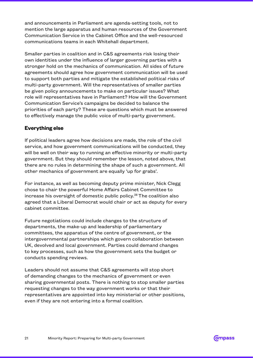<span id="page-20-0"></span>and announcements in Parliament are agenda-setting tools, not to mention the large apparatus and human resources of the Government Communication Service in the Cabinet Office and the well-resourced communications teams in each Whitehall department.

Smaller parties in coalition and in C&S agreements risk losing their own identities under the influence of larger governing parties with a stronger hold on the mechanics of communication. All sides of future agreements should agree how government communication will be used to support both parties and mitigate the established political risks of multi-party government. Will the representatives of smaller parties be given policy announcements to make on particular issues? What role will representatives have in Parliament? How will the Government Communication Service's campaigns be decided to balance the priorities of each party? These are questions which must be answered to effectively manage the public voice of multi-party government.

#### **Everything else**

If political leaders agree how decisions are made, the role of the civil service, and how government communications will be conducted, they will be well on their way to running an effective minority or multi-party government. But they should remember the lesson, noted above, that there are no rules in determining the shape of such a government. All other mechanics of government are equally 'up for grabs'.

For instance, as well as becoming deputy prime minister, Nick Clegg chose to chair the powerful Home Affairs Cabinet Committee to increase his oversight of domestic public policy.28 The coalition also agreed that a Liberal Democrat would chair or act as deputy for every cabinet committee.

Future negotiations could include changes to the structure of departments, the make-up and leadership of parliamentary committees, the apparatus of the centre of government, or the intergovernmental partnerships which govern collaboration between UK, devolved and local government. Parties could demand changes to key processes, such as how the government sets the budget or conducts spending reviews.

Leaders should not assume that C&S agreements will stop short of demanding changes to the mechanics of government or even sharing governmental posts. There is nothing to stop smaller parties requesting changes to the way government works or that their representatives are appointed into key ministerial or other positions, even if they are not entering into a formal coalition.

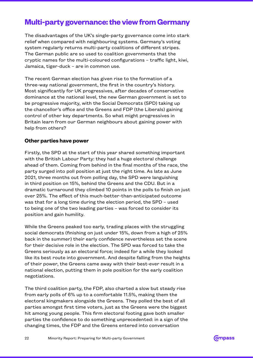## <span id="page-21-0"></span>**Multi-party governance: the view from Germany**

The disadvantages of the UK's single-party governance come into stark relief when compared with neighbouring systems. Germany's voting system regularly returns multi-party coalitions of different stripes. The German public are so used to coalition governments that the cryptic names for the multi-coloured configurations – traffic light, kiwi, Jamaica, tiger-duck – are in common use.

The recent German election has given rise to the formation of a three-way national government, the first in the country's history. Most significantly for UK progressives, after decades of conservative dominance at the national level, the new German government is set to be progressive majority, with the Social Democrats (SPD) taking up the chancellor's office and the Greens and FDP (the Liberals) gaining control of other key departments. So what might progressives in Britain learn from our German neighbours about gaining power with help from others?

#### **Other parties have power**

Firstly, the SPD at the start of this year shared something important with the British Labour Party: they had a huge electoral challenge ahead of them. Coming from behind in the final months of the race, the party surged into poll position at just the right time. As late as June 2021, three months out from polling day, the SPD were languishing in third position on 15%, behind the Greens and the CDU. But in a dramatic turnaround they climbed 10 points in the polls to finish on just over 25%. The effect of this much-better-than-anticipated outcome was that for a long time during the election period, the SPD – used to being one of the two leading parties – was forced to consider its position and gain humility.

While the Greens peaked too early, trading places with the struggling social democrats (finishing on just under 15%, down from a high of 25% back in the summer) their early confidence nevertheless set the scene for their decisive role in the election. The SPD was forced to take the Greens seriously as an electoral force; indeed for a while they looked like its best route into government. And despite falling from the heights of their power, the Greens came away with their best-ever result in a national election, putting them in pole position for the early coalition negotiations.

The third coalition party, the FDP, also charted a slow but steady rise from early polls of 6% up to a comfortable 11.5%, making them the electoral kingmakers alongside the Greens. They polled the best of all parties amongst first time voters, just as the Greens were the biggest hit among young people. This firm electoral footing gave both smaller parties the confidence to do something unprecedented: in a sign of the changing times, the FDP and the Greens entered into conversation

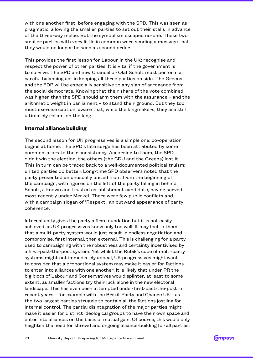<span id="page-22-0"></span>with one another first, before engaging with the SPD. This was seen as pragmatic, allowing the smaller parties to set out their stalls in advance of the three-way melee. But the symbolism escaped no-one. These two smaller parties with very little in common were sending a message that they would no longer be seen as second order.

This provides the first lesson for Labour in the UK: recognise and respect the power of other parties. It is vital if the government is to survive. The SPD and new Chancellor Olaf Scholz must perform a careful balancing act in keeping all three parties on side. The Greens and the FDP will be especially sensitive to any sign of arrogance from the social democrats. Knowing that their share of the vote combined was higher than the SPD should arm them with the assurance – and the arithmetic weight in parliament – to stand their ground. But they too must exercise caution, aware that, while the kingmakers, they are still ultimately reliant on the king.

#### **Internal alliance building**

The second lesson for UK progressives is a simple one: co-operation begins at home. The SPD's late surge has been attributed by some commentators to their consistency. According to them, the SPD didn't win the election, the others (the CDU and the Greens) lost it. This in turn can be traced back to a well-documented political truism: united parties do better. Long-time SPD observers noted that the party presented an unusually united front from the beginning of the campaign, with figures on the left of the party falling in behind Scholz, a known and trusted establishment candidate, having served most recently under Merkel. There were few public conflicts and, with a campaign slogan of 'Respekt', an outward appearance of party coherence.

Internal unity gives the party a firm foundation but it is not easily achieved, as UK progressives know only too well. It may feel to them that a multi-party system would just result in endless negotiation and compromise, first internal, then external. This is challenging for a party used to campaigning with the robustness and certainty incentivised by a first-past-the-post system. Yet whilst the Rubik's cube of multi-party systems might not immediately appeal, UK progressives might want to consider that a proportional system may make it easier for factions to enter into alliances with one another. It is likely that under PR the big blocs of Labour and Conservatives would splinter, at least to some extent, as smaller factions try their luck alone in the new electoral landscape. This has even been attempted under first-past-the-post in recent years – for example with the Brexit Party and Change UK – as the two largest parties struggle to contain all the factions jostling for internal control. The partial disintegration of the major parties might make it easier for distinct ideological groups to have their own space and enter into alliances on the basis of mutual gain. Of course, this would only heighten the need for shrewd and ongoing alliance-building for all parties.

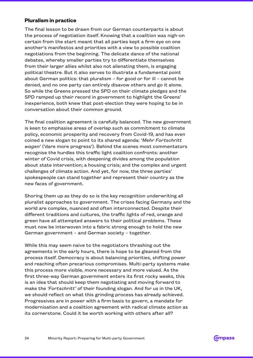#### <span id="page-23-0"></span>**Pluralism in practice**

The final lesson to be drawn from our German counterparts is about the process of negotiation itself. Knowing that a coalition was nigh-on certain from the start meant that all parties kept a firm eye on one another's manifestos and priorities with a view to possible coalition negotiations from the beginning. The delicate dance of the national debates, whereby smaller parties try to differentiate themselves from their larger allies whilst also not alienating them, is engaging political theatre. But it also serves to illustrate a fundamental point about German politics: that pluralism – for good or for ill – cannot be denied, and no one party can entirely disavow others and go it alone. So while the Greens pressed the SPD on their climate pledges and the SPD ramped up their record in government to highlight the Greens' inexperience, both knew that post-election they were hoping to be in conversation about their common ground.

The final coalition agreement is carefully balanced. The new government is keen to emphasise areas of overlap such as commitment to climate policy, economic prosperity and recovery from Covid-19, and has even coined a new slogan to point to its shared agenda: '*Mehr Fortschritt wagen*' ('dare more progress'). Behind the scenes most commentators recognise the hurdles this traffic light coalition confronts: another winter of Covid crisis, with deepening divides among the population about state intervention; a housing crisis; and the complex and urgent challenges of climate action. And yet, for now, the three parties' spokespeople can stand together and represent their country as the new faces of government.

Shoring them up as they do so is the key recognition underwriting all pluralist approaches to government. The crises facing Germany and the world are complex, nuanced and often interconnected. Despite their different traditions and cultures, the traffic lights of red, orange and green have all attempted answers to their political problems. These must now be interwoven into a fabric strong enough to hold the new German government – and German society – together.

While this may seem naive to the negotiators thrashing out the agreements in the early hours, there is hope to be gleaned from the process itself. Democracy is about balancing priorities, shifting power and reaching often precarious compromises. Multi-party systems make this process more visible, more necessary and more valued. As the first three-way German government enters its first rocky weeks, this is an idea that should keep them negotiating and moving forward to make the *'Fortschritt'* of their founding slogan. And for us in the UK, we should reflect on what this grinding process has already achieved. Progressives are in power with a firm basis to govern, a mandate for modernisation and a coalition agreement with radical climate action as its cornerstone. Could it be worth working with others after all?

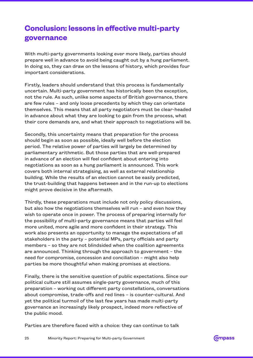## <span id="page-24-0"></span>**Conclusion: lessons in effective multi-party governance**

With multi-party governments looking ever more likely, parties should prepare well in advance to avoid being caught out by a hung parliament. In doing so, they can draw on the lessons of history, which provides four important considerations.

Firstly, leaders should understand that this process is fundamentally uncertain. Multi-party government has historically been the exception, not the rule. As such, unlike some aspects of British governance, there are few rules – and only loose precedents by which they can orientate themselves. This means that all party negotiators must be clear-headed in advance about what they are looking to gain from the process, what their core demands are, and what their approach to negotiations will be.

Secondly, this uncertainty means that preparation for the process should begin as soon as possible, ideally well before the election period. The relative power of parties will largely be determined by parliamentary arithmetic. But those parties that are well-prepared in advance of an election will feel confident about entering into negotiations as soon as a hung parliament is announced. This work covers both internal strategising, as well as external relationship building. While the results of an election cannot be easily predicted, the trust-building that happens between and in the run-up to elections might prove decisive in the aftermath.

Thirdly, these preparations must include not only policy discussions, but also how the negotiations themselves will run – and even how they wish to operate once in power. The process of preparing internally for the possibility of multi-party governance means that parties will feel more united, more agile and more confident in their strategy. This work also presents an opportunity to manage the expectations of all stakeholders in the party – potential MPs, party officials and party members – so they are not blindsided when the coalition agreements are announced. Thinking through the approach to government – the need for compromise, concession and conciliation – might also help parties be more thoughtful when making promises at elections.

Finally, there is the sensitive question of public expectations. Since our political culture still assumes single-party governance, much of this preparation – working out different party constellations, conversations about compromise, trade-offs and red lines – is counter-cultural. And yet the political turmoil of the last few years has made multi-party governance an increasingly likely prospect, indeed more reflective of the public mood.

Parties are therefore faced with a choice: they can continue to talk

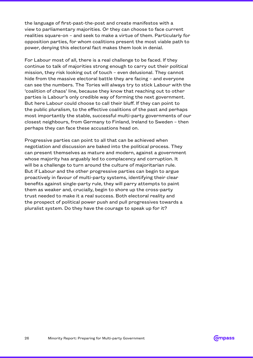the language of first-past-the-post and create manifestos with a view to parliamentary majorities. Or they can choose to face current realities square-on – and seek to make a virtue of them. Particularly for opposition parties, for whom coalitions present the most viable path to power, denying this electoral fact makes them look in denial.

For Labour most of all, there is a real challenge to be faced. If they continue to talk of majorities strong enough to carry out their political mission, they risk looking out of touch – even delusional. They cannot hide from the massive electoral battle they are facing – and everyone can see the numbers. The Tories will always try to stick Labour with the 'coalition of chaos' line, because they know that reaching out to other parties is Labour's only credible way of forming the next government. But here Labour could choose to call their bluff. If they can point to the public pluralism, to the effective coalitions of the past and perhaps most importantly the stable, successful multi-party governments of our closest neighbours, from Germany to Finland, Ireland to Sweden – then perhaps they can face these accusations head on.

Progressive parties can point to all that can be achieved when negotiation and discussion are baked into the political process. They can present themselves as mature and modern, against a government whose majority has arguably led to complacency and corruption. It will be a challenge to turn around the culture of majoritarian rule. But if Labour and the other progressive parties can begin to argue proactively in favour of multi-party systems, identifying their clear benefits against single-party rule, they will parry attempts to paint them as weaker and, crucially, begin to shore up the cross-party trust needed to make it a real success. Both electoral reality and the prospect of political power push and pull progressives towards a pluralist system. Do they have the courage to speak up for it?

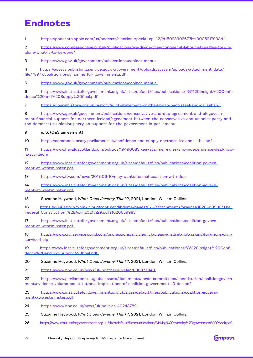## **Endnotes**

1 <https://podcasts.apple.com/us/podcast/election-special-ep-42/id1502390267?i=1000521799844>

2 [https://www.compassonline.org.uk/publications/we-divide-they-conquer-if-labour-struggles-to-win](https://www.compassonline.org.uk/publications/we-divide-they-conquer-if-labour-struggles-to-win-alone-what-is-to-be-done/)[alone-what-is-to-be-done/](https://www.compassonline.org.uk/publications/we-divide-they-conquer-if-labour-struggles-to-win-alone-what-is-to-be-done/)

3 <https://www.gov.uk/government/publications/cabinet-manual>

4 [https://assets.publishing.service.gov.uk/government/uploads/system/uploads/attachment\\_data/](https://assets.publishing.service.gov.uk/government/uploads/system/uploads/attachment_data/file/78977/coalition_programme_for_government.pdf) [file/78977/coalition\\_programme\\_for\\_government.pdf](https://assets.publishing.service.gov.uk/government/uploads/system/uploads/attachment_data/file/78977/coalition_programme_for_government.pdf)

5 <https://www.gov.uk/government/publications/cabinet-manual>

6 [https://www.instituteforgovernment.org.uk/sites/default/files/publications/IfG%20Insight%20Confi](https://www.instituteforgovernment.org.uk/sites/default/files/publications/IfG%20Insight%20Confidence%20and%20Supply%20final.pdf)[dence%20and%20Supply%20final.pdf](https://www.instituteforgovernment.org.uk/sites/default/files/publications/IfG%20Insight%20Confidence%20and%20Supply%20final.pdf)

7 <https://liberalhistory.org.uk/history/joint-statement-on-the-lib-lab-pact-steel-and-callaghan/>

8 [https://www.gov.uk/government/publications/conservative-and-dup-agreement-and-uk-govern](https://www.gov.uk/government/publications/conservative-and-dup-agreement-and-uk-government-financial-support-for-northern-ireland/agreement-between-the-conservative-and-unionist-party-and-the-democratic-unionist-party-on-support-for-the-government-in-parliament)[ment-financial-support-for-northern-ireland/agreement-between-the-conservative-and-unionist-party-and](https://www.gov.uk/government/publications/conservative-and-dup-agreement-and-uk-government-financial-support-for-northern-ireland/agreement-between-the-conservative-and-unionist-party-and-the-democratic-unionist-party-on-support-for-the-government-in-parliament)[the-democratic-unionist-party-on-support-for-the-government-in-parliament](https://www.gov.uk/government/publications/conservative-and-dup-agreement-and-uk-government-financial-support-for-northern-ireland/agreement-between-the-conservative-and-unionist-party-and-the-democratic-unionist-party-on-support-for-the-government-in-parliament)

9 *Ibid*. (C&S agreement)

10 <https://commonslibrary.parliament.uk/confidence-and-supply-northern-irelands-1-billion/>

11 [https://www.heraldscotland.com/politics/19490083.keir-starmer-rules-snp-independence-deal-nico](https://www.heraldscotland.com/politics/19490083.keir-starmer-rules-snp-independence-deal-nicola-sturgeon/)[la-sturgeon/](https://www.heraldscotland.com/politics/19490083.keir-starmer-rules-snp-independence-deal-nicola-sturgeon/)

12 [https://www.instituteforgovernment.org.uk/sites/default/files/publications/coalition-govern](https://www.instituteforgovernment.org.uk/sites/default/files/publications/coalition-government-at-westminster.pdf)[ment-at-westminster.pdf](https://www.instituteforgovernment.org.uk/sites/default/files/publications/coalition-government-at-westminster.pdf)

13 <https://www.itv.com/news/2017-06-10/may-wants-formal-coalition-with-dup>

14 [https://www.instituteforgovernment.org.uk/sites/default/files/publications/coalition-govern](https://www.instituteforgovernment.org.uk/sites/default/files/publications/coalition-government-at-westminster.pdf)[ment-at-westminster.pdf](https://www.instituteforgovernment.org.uk/sites/default/files/publications/coalition-government-at-westminster.pdf)

15 Suzanne Heywood, *What Does Jeremy Think*?, 2021, London: William Collins.

16 [https://d3n8a8pro7vhmx.cloudfront.net/libdems/pages/376/attachments/original/1620659983/The\\_](https://d3n8a8pro7vhmx.cloudfront.net/libdems/pages/376/attachments/original/1620659983/The_Federal_Constitution_%28Apr_2021%29.pdf?1620659983) [Federal\\_Constitution\\_%28Apr\\_2021%29.pdf?1620659983](https://d3n8a8pro7vhmx.cloudfront.net/libdems/pages/376/attachments/original/1620659983/The_Federal_Constitution_%28Apr_2021%29.pdf?1620659983)

17 [https://www.instituteforgovernment.org.uk/sites/default/files/publications/coalition-govern](https://www.instituteforgovernment.org.uk/sites/default/files/publications/coalition-government-at-westminster.pdf)[ment-at-westminster.pdf](https://www.instituteforgovernment.org.uk/sites/default/files/publications/coalition-government-at-westminster.pdf)

18 [https://www.civilserviceworld.com/professions/article/nick-clegg-i-regret-not-asking-for-more-civil](https://www.civilserviceworld.com/professions/article/nick-clegg-i-regret-not-asking-for-more-civil-service-help)[service-help](https://www.civilserviceworld.com/professions/article/nick-clegg-i-regret-not-asking-for-more-civil-service-help)

19 [https://www.instituteforgovernment.org.uk/sites/default/files/publications/IfG%20Insight%20Confi](https://www.instituteforgovernment.org.uk/sites/default/files/publications/IfG%20Insight%20Confidence%20and%20Supply%20final.pdf)[dence%20and%20Supply%20final.pdf](https://www.instituteforgovernment.org.uk/sites/default/files/publications/IfG%20Insight%20Confidence%20and%20Supply%20final.pdf)

20 Suzanne Heywood, *What Does Jeremy Think*?, 2021, London: William Collins.

21 <https://www.bbc.co.uk/news/uk-northern-ireland-38077948>

22 [https://www.parliament.uk/globalassets/documents/lords-committees/constitution/coalitiongovern](https://www.parliament.uk/globalassets/documents/lords-committees/constitution/coalitiongovernment/evidence-volume-constitutional-implications-of-coalition-government-10-dec.pdf)[ment/evidence-volume-constitutional-implications-of-coalition-government-10-dec.pdf](https://www.parliament.uk/globalassets/documents/lords-committees/constitution/coalitiongovernment/evidence-volume-constitutional-implications-of-coalition-government-10-dec.pdf)

23 [https://www.instituteforgovernment.org.uk/sites/default/files/publications/coalition-govern](https://www.instituteforgovernment.org.uk/sites/default/files/publications/coalition-government-at-westminster.pdf)[ment-at-westminster.pdf](https://www.instituteforgovernment.org.uk/sites/default/files/publications/coalition-government-at-westminster.pdf)

24 <https://www.bbc.co.uk/news/uk-politics-40243782>

25 Suzanne Heywood, *What Does Jeremy Think*?, 2021, London: William Collins.

26 <https://www.instituteforgovernment.org.uk/sites/default/files/publications/Making%20minority%20government%20work.pdf>

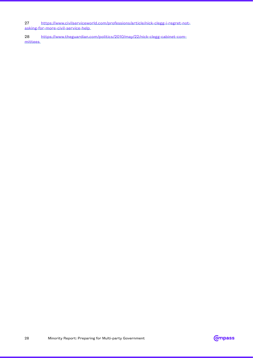27 [https://www.civilserviceworld.com/professions/article/nick-clegg-i-regret-not-](https://www.civilserviceworld.com/professions/article/nick-clegg-i-regret-not-asking-for-more-civil-service-help)

[asking-for-more-civil-service-help](https://www.civilserviceworld.com/professions/article/nick-clegg-i-regret-not-asking-for-more-civil-service-help)

28 [https://www.theguardian.com/politics/2010/may/22/nick-clegg-cabinet-com](https://www.theguardian.com/politics/2010/may/22/nick-clegg-cabinet-committees)[mittees](https://www.theguardian.com/politics/2010/may/22/nick-clegg-cabinet-committees)